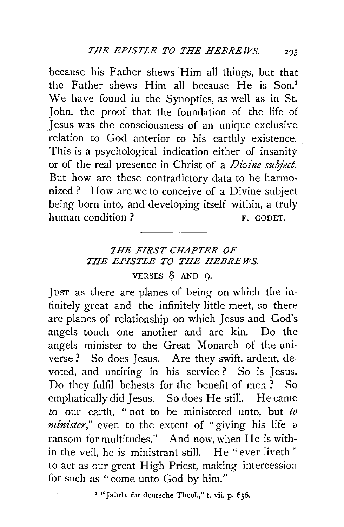because his Father shews Him all things, but that the Father shews Him all because He is Son.<sup>1</sup> We have found in the Synoptics, as well as in St. John, the proof that the foundation of the life of Jesus was the consciousness of an unique exclusive relation to God anterior to his earthly existence. This is a psychological indication either of insanity or of the real presence in Christ of a *Divine subject.*  But how are these contradictory data to be harmonized? How are we to conceive of a Divine subject being born into, and developing itself within, a truly human condition ? F. GODET.

## *7 HE FIRST CHAPTER OF THE EPISTLE TO THE HEBREWS.*

VERSES 8 AND 9.

JUST as there are planes of being on which the infinitely great and the infinitely little meet, so there are planes of relationship on which Jesus and God's angels touch one another and are kin. Do the angels minister to the Great Monarch of the universe ? So does Jesus. Are they swift, ardent, devoted, and untiring in his service ? So is Jesus. Do they fulfil behests for the benefit of men ? So emphatically did Jesus. So does He still. He came ~o our earth, " not to be ministered unto, but *to minister,"* even to the extent of "giving his life a ransom for multitudes." And now, when He is within the veil, he is ministrant still. He "ever liveth " to act as our great High Priest, making intercession for such as "come unto God by him."

<sup>2</sup> "Jahrb. fur deutsche Theol.," t. vii. p. 656.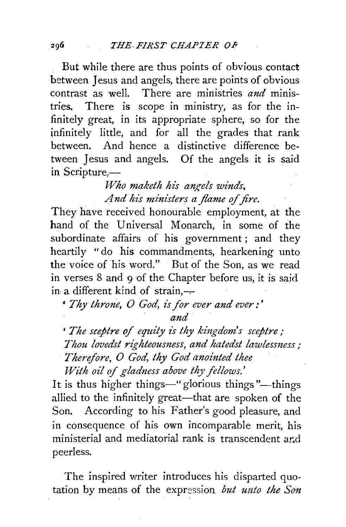But while there are thus points of obvious contact between Jesus and angels, there are points of obvious contrast as well. There are ministries *and* ministries. There is scope in ministry, as for the infinitely great, in its appropriate sphere, so for the infinitely little, and for all the grades that rank between. And hence a distinctive difference between Jesus and angels. Of the angels it is said in Scripture,-

> *Who maketh his angels winds, And his ministers a flame of fire.*

They have received honourable employment, at the hand of the Universal Monarch, in some of the subordinate affairs of his government ; and they heartily "do his commandments, hearkening unto the voice of his word." But of the Son, as we read in verses 8 and 9 of the Chapter before us, it is said in a different kind of strain, $-$ 

' *Thy throne, 0 God, is for ever and ever :* '

*and* 

*'The sceptre* of *equity is thy kingdom's sceptre; Thou lovedst righteousness, and hatedst lawlessness; Therefore, O God, thy God anointed thee With oil of gladness above thy fellows.*'

It is thus higher things—" glorious things "—things allied to the infinitely great—that are spoken of the Son. According to his Father's good pleasure, and in consequence of his own incomparable merit, his ministerial and mediatorial rank is transcendent ar.d peerless.

The inspired writer introduces his disparted quotation by means of the expression *but unto the Son*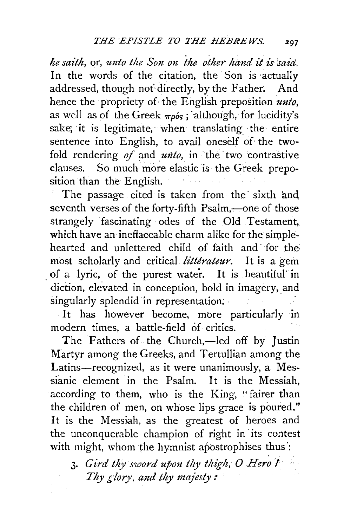*he saith, or, unto the Son on the other hand it is said.* In the words of the citation, the Son is actually addressed, though not directly, by the Father. And hence the propriety of the English preposition *unto,*  as well as of the Greek  $\pi \rho \delta s$ ; although, for lucidity's sake, it is legitimate, when translating the entire sentence into English, to avail oneself of the twofold rendering of and *unto*, in the two contrastive clauses. So much more elastic is the Greek preposition than the English.

The passage cited is taken from the sixth and seventh verses of the forty-fifth Psalm,---one of those strangely fascinating odes of the Old Testament, which have an ineffaceable charm alike for the simplehearted and unlettered child of faith and· for the most scholarly and critical *litterateur.* It is a gem . of a lyric, of the purest water. It is beautiful' in diction, elevated in conception, bold in imagery, and singularly splendid in representation.

It has however become, more particularly in modern times, a battle-field of critics.

The Fathers of the Church,—led off by Justin Martyr among the Greeks, and Tertullian among the Latins-recognized, as it were unanimously, a Messianic element in the Psalm. It is the Messiah, according to them, who is the King, "fairer than the children of men, on whose lips grace is poured." It is the Messiah, as the greatest of heroes and the unconquerable champion of right in its contest with might, whom the hymnist apostrophises thus:

<sup>3.</sup> Gird thy sword upon thy thigh, O Hero I *Thy glory, and thy majesty:*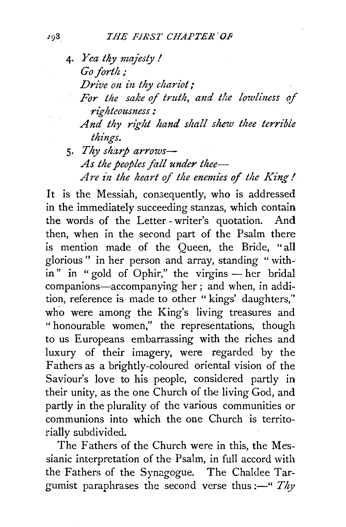- 4· *Yea thy maJesty* I *Go forth; Drive on in thy chariot;* For the sake of truth, and the lowliness of *righteousness : And thy right hand shall shew thee terrible things.*
- 5· *Thy sharp arrows-As the peoples fall under thee-*Are in the heart of the enemies of the King!

It is the Messiah, consequently, who is addressed in the immediately succeeding stanzas, which contain the words of the Letter- writer's quotation. And. then, when in the second part of the Psalm there is mention made of the Queen, the Bride, "all glorious" in her person and array, standing " with-·  $\sin$ " in " gold of Ophir," the virgins — her bridal companions-accompanying her ; and when, in addition, reference is made to other "kings' daughters," who were among the King's living treasures and " honourable women," the representations, though to us Europeans embarrassing with the riches and luxury of their imagery, were regarded by the Fathers as a brightly-coloured oriental vision of the Saviour's love to his people, considered partly in their unity, as the one Church of the living God, and partly in the plurality of the various communities or communions into which the one Church is territorially subdivided.

The Fathers of the Church were in this, the Messianic interpretation of the Psalm, in full accord with the Fathers of the Synagogue. The Chaldee Targumist paraphrases the second verse thus: $\frac{m}{r}$  *Thy*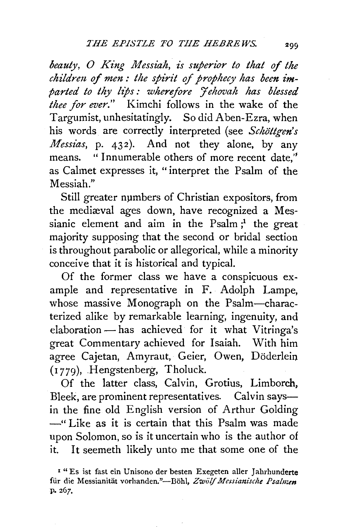beauty, O King Messiah, is superior to that of the *children of men: the spirit of prophecy has been im*parted to thy lips: wherefore *Hehovah has blessed thee for ever."* Kimchi follows in the wake of the Targumist, unhesitatingly. So did Aben-Ezra, when his words are correctly interpreted (see *Schöttgen's Messias,* p. 432). And not they alone, by any means. "Innumerable others of more recent date,'' as Calmet expresses it, " interpret the Psalm of the Messiah."

Still greater numbers of Christian expositors, from the mediaval ages down, have recognized a Messianic element and aim in the  $P_{salm}$ ; the great majority supposing that the second or bridal section is throughout parabolic or allegorical, while a minority conceive that it is historical and typical.

Of the former class we have a conspicuous example and representative in F. Adolph Lampe, whose massive Monograph on the Psalm-characterized alike by remarkable learning, ingenuity, and elaboration - has achieved for it what Vitringa's great Commentary achieved for Isaiah. With him agree Cajetan, Amyraut, Geier, Owen, Döderlein (1 779), .Hengstenberg, Tholuck.

Of the latter class, Calvin, Grotius, Limborch, Bleek, are prominent representatives. Calvin saysin the fine old English version of Arthur Golding ~" Like as it is certain that this Psalm was made upon Solomon, so is it uncertain who is the author of it. It seemeth likely unto me that some one of the

<sup>&</sup>lt;sup>1</sup> " Es ist fast ein Unisono der besten Exegeten aller Jahrhunderte für die Messianität vorhanden."-Böhl, Zwölf Messianische Psalmen p. 267.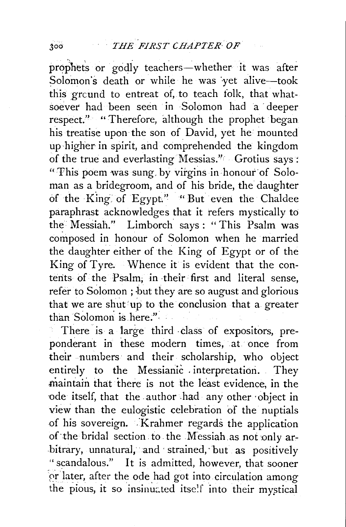prophets or godly teachers-whether it was after Solomon's death or while he was yet alive-took this grcund to entreat of, to teach folk, that whatsoever had been seen in Solomon had a deeper respect." "Therefore, although the prophet began his treatise upon the son of David, yet he mounted up-higher in spirit, and comprehended the kingdom of the true and everlasting Messias.'' Grotius says : "This poem was sung, by virgins in honour of Soloman as a bridegroom, and of his bride, the daughter of the King of Egypt" "But even the Chaldee paraphrast acknowledges that it refers mystically to the· Messiah." Limborch says: "This Psalm was composed in honour of Solomon when he married the daughter either of the King of Egypt or of the King of Tyre. Whence it is evident that the conterits of the Psalm; in -their first and literal sense, refer to Solomon; but they are so august and glorious that we are shut 'up to the conclusion that a greater than Solomon is here."

There is a large third class of expositors, preponderant in these modern times, at once from their numbers and their scholarship, who object entirely to the Messianic . interpretation. They maintain that there is not the least evidence, in the ode itself, that the author had any other object in view than the eulogistic celebration of the nuptials of his sovereign. Krahmer regards the application of the bridal section to the Messiah as not only arbitrary, unnatural, and strained, but as positively " scandalous.'' It is admitted, however, that sooner or later, after the ode had got into circulation among the pious, it so insinuated itse!f into their mystical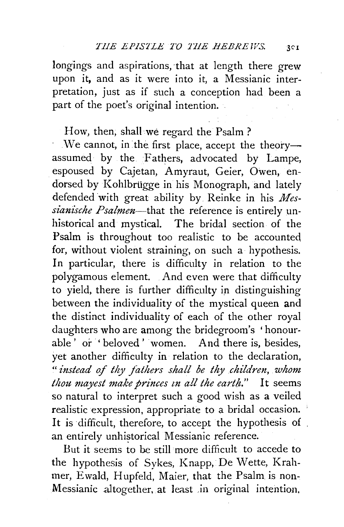longings and aspirations, that at length there grew upon it, and as it were into it, a Messianic interpretation, just as if such a conception had been a part of the poet's original intention.

## How, then, shall we regard the Psalm?

We cannot, in the first place, accept the theoryassumed by the Fathers, advocated by Lampe, espoused by Cajetan, Amyraut, Geier, Owen, endorsed by Kohlbrügge in his Monograph, and lately defended 'with great ability by Reinke in his *Mes*sianische Psalmen-that the reference is entirely unhistorical and mystical. The bridal section of the Psalm is throughout too realistic to be accounted, for, without violent straining, on such a hypothesis. In particular, there is difficulty in relation to the polygamous element. And even were that difficulty to yield, there is further difficulty in distinguishing between the individuality of the mystical queen and the distinct individuality of each of the other royal daughters who are among the bridegroom's 'honourable ' or ' beloved ' women. And there is, besides, yet another difficulty in relation to the declaration, " *instead of thy fathers shall be thy children, whom thou may est make princes zn all the earth."* It seems so natural to interpret such a good wish as a veiled realistic expression, appropriate to a bridal occasion. It is difficult, therefore, to accept the hypothesis of an entirely unhistorical Messianic reference.

But it seems to be still more difficult to accede to the hypothesis of Sykes, Knapp, De Wette, Krahmer, Ewald, Hupfeld, Maier, that the Psalm is non-Messianic altogether, at least in original intention.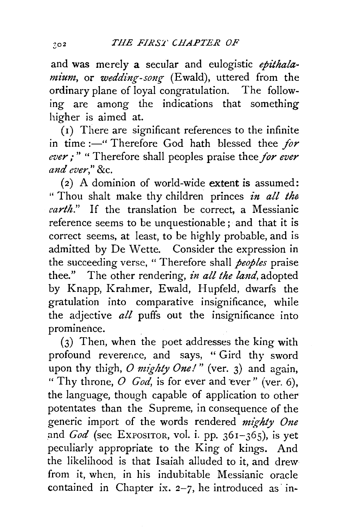and was merely a secular and eulogistic epithalamium, or wedding-song (Ewald), uttered from the ordinary plane of loyal congratulation. The follow~ ing are among the indications that something higher is aimed at.

( 1) There are significant references to the infinite in time :-" Therefore God hath blessed thee *for ever,·* " " Therefore shall peoples praise thee *for ever and ever,"* &c.

(2) A dominion of world~wide extent is assumed: "Thou shalt make thy children princes *in all the earth."* If the translation be correct, a Messianic reference seems to be unquestionable; and that it is correct seems, at least, to be highly probable, and is admitted by De Wette. Consider the expression in the succeeding verse, " Therefore shall *peoples* praise thee." The other rendering, *in all the land,* adopted by Knapp, Krahmer, Ewald, Hupfeld, dwarfs the gratulation into comparative insignificance, while the adjective *all* puffs out the insignificance into prominence.

(3) Then, when the poet addresses the king with profound reverence, and says, " Gird thy sword upon thy thigh, *O mighty One!*" (ver. 3) and again, " Thy throne,  $O$  *God*, is for ever and ever" (ver. 6), the language, though capable of application to other potentates than the Supreme, in consequence of the generic import of the words rendered *mighty One*  and *God* (see Expositor, vol. i. pp. 361-365), is yet peculiarly appropriate to the King of kings. And the likelihood is that Isaiah alluded to it, and drew from it, when, in his indubitable Messianic oracle contained in Chapter ix.  $2-7$ , he introduced as in-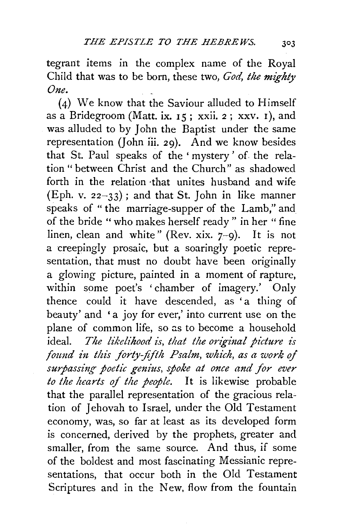tegrant items in the complex name of the Royal Child that was to be born, these two, *God, the mighty One.* 

(4) We know that the Saviour alluded to Himself as a Bridegroom (Matt. ix.  $15$ ; xxii. 2; xxv. 1), and was alluded to by John the Baptist under the same representation (John iii. 29). And we know besides that St. Paul speaks of the ' mystery ' of. the relation " between Christ and the Church" as shadowed forth in the relation ·that unites husband and wife (Eph. v.  $22-33$ ); and that St. John in like manner speaks of " the marriage-supper of the Lamb," and of the bride "who makes herself ready" in her "fine linen, clean and white" (Rev. xix.  $7-9$ ). It is not a creepingly prosaic, but a soaringly poetic representation, that must no doubt have been originally a glowing picture, painted in a moment of rapture, within some poet's ' chamber of imagery.' Only thence could it have descended, as 'a thing of beauty' and 'a joy for ever,' into current use on the plane of common life, so as to become a household ideal. *The likelihood is, that the original picture is*  found in this forty-fifth Psalm, which, as a work of surpassing poetic genius, spoke at once and for ever *to the hearts of the people.* It is likewise probable that the parallel representation of the gracious rela~ tion of Jehovah to Israel, under the Old Testament economy, was, so far at least as its developed form is concerned, derived by the prophets, greater and smaller, from the same source. And thus, if some of the boldest and most fascinating Messianic representations, that occur both in the Old Testament Scriptures and in the New, flow from the fountain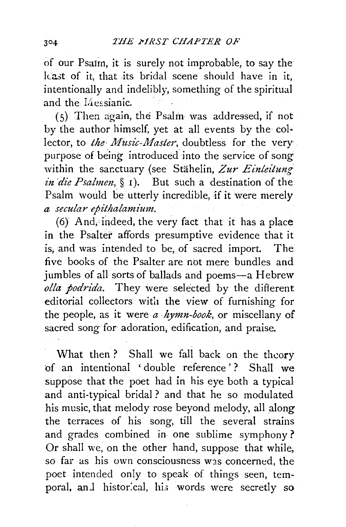of our Psa1rn, it is surely not improbable, to say the least of it that its bridal scene should have in it. intentionally and indelibly, something of the spiritual and the I/lessianic.

(S) Then again, the Psalm was addressed, if not by the author himself, yet at all events by the col• lector, to *the Music-Master*, doubtless for the very purpose of being introduced into the service of song within the sanctuary (see Stähelin, Zur Einleitung *in die Psalmen*, § 1). But such a destination of the Psalm would be utterly incredible, if it were merely  $a$  secular epithalamium.

(6) And, indeed, the very fact that it has a place in the Psalter affords presumptive evidence that it is, and was intended to be, of sacred import. The five books of the Psalter are not mere bundles and jumbles of all sorts of ballads and poems-a Hebrew *olla podrida.* They \vere selected by the different editorial collectors with the view of furnishing for the people, as it were *a hymn-book,* or miscellany of sacred song for adoration, edification, and praise.

What then? Shall we fall back on the theory of an intentional ' double reference' ? Shall we suppose that the poet had in his eye both a typical and anti-typical bridal ? and that he so modulated his music, that melody rose beyond melody, all along the terraces of his song, till the several strains and grades combined in one sublime symphony? Or shall we, on the other hand, suppose that while, so far as his own consciousness was concerned, the poet intended only to speak of things seen, temporal, and historical, his words were secretly so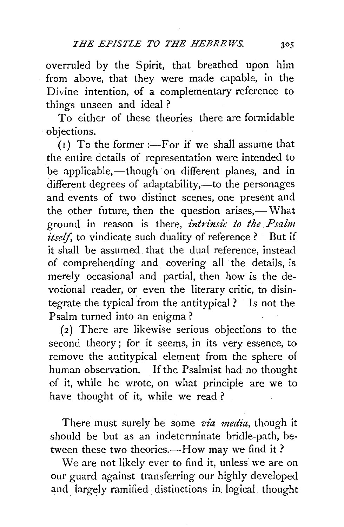overruled by the Spirit, that breathed upon him from above, that they were made capable, in the Divine intention, of a complementary reference to things unseen and ideal ?

To either of these theories there are formidable objections.

 $(I)$  To the former :—For if we shall assume that the entire details of representation were intended to be applicable,—though on different planes, and in different degrees of adaptability,—to the personages and events of two distinct scenes, one present and the other future, then the question arises,— What ground in reason is there, *intrinsic to the Psalm itself*, to vindicate such duality of reference ? But if it shall be assumed that the dual reference, instead of comprehending and covering all the details, is merely occasional and partial, then how is the devotional reader, or even the literary critic, to disintegrate the typical from the antitypical ? Is not the Psalm turned into an enigma ?

 $(2)$  There are likewise serious objections to the second theory; for it seems, in its very essence, to remove the antitypical element from the sphere of human observation. If the Psalmist had no thought of it, while he wrote, on what principle are we to have thought of it, while we read ?

There must surely be some *via media*, though it should be but as an indeterminate bridle-path, between these two theories.—How may we find it?

We are not likely ever to find it, unless we are on our guard against transferring our highly developed and largely ramified: distinctions in, logical thought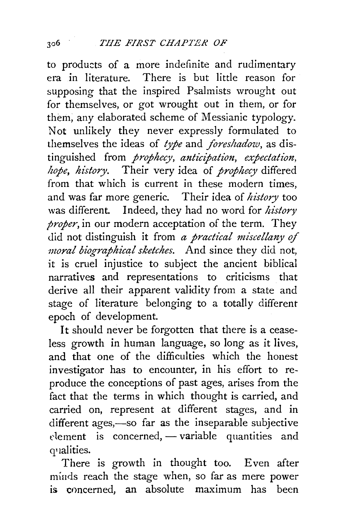to products of a more indefinite and rudimentary era in literature. There is but little reason for supposing that the inspired Psalmists wrought out for themselves, or got wrought out in them, or for them, any elaborated scheme of Messianic typology. Not unlikely they never expressly formulated to themselves the ideas of *type* and *foreshadow,* as distinguished from *prophecy, anticipation, expectation, hope, history.* Their very idea of *prophecy* differed from that which is current in these modern times, and was far more generic. Their idea of *history* too was different. Indeed, they had no word for *history proper,* in our modern acceptation of the term. They did not distinguish it from *a practical miscellany of moral biographical sketches.* And since they did not, it is cruel injustice to subject the ancient biblical narratives and representations to criticisms that derive all their apparent validity from a state and stage of literature belonging to a totally different epoch of development.

It should never be forgotten that there is a ceaseless growth in human language, so long as it lives, and that one of the difficulties which the honest investigator has to encounter, in his effort to reproduce the conceptions of past ages, arises from the fact that the terms in which thought is carried, and carried on, represent at different stages, and in different ages,-so far as the inseparable subjective  $e$ lement is concerned,  $-$  variable quantities and q•1alities.

There is growth in thought too. Even after minds reach the stage when, so far as mere power is cnncerned, an absolute maximum has been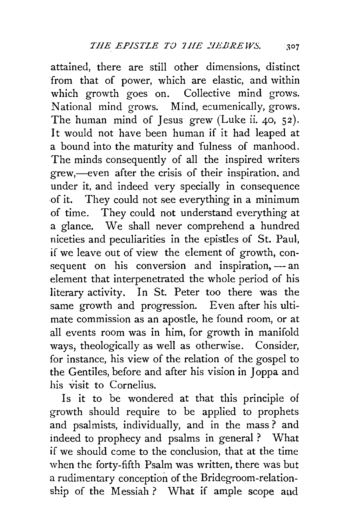attained, there are still other dimensions, distinct from that of power, which are elastic, and within which growth goes on. Collective mind grows. National mind grows. Mind, ecumenically, grows. The human mind of Jesus grew (Luke ii. 40, 52). It would not have been human if it had leaped at a bound into the maturity and 'fulness of manhood. The minds consequently of all the inspired writers grew,—even after the crisis of their inspiration, and under it, and indeed very specially in consequence ·Of it. They could not see everything in a minimum of time. They could not understand everything at a glance. We shall never comprehend a hundred niceties and peculiarities in the epistles of St. Paul, if we leave out of view the element of growth, consequent on his conversion and inspiration,  $-$  an element that interpenetrated the whole period of his literary activity. In St. Peter too there was the same growth and progression. Even after his ultimate commission as an apostle, he found room, or at all events room was in him, for growth in manifold ways, theologically as well as otherwise. Consider, for instance, his view of the relation of the gospel to the Gentiles, before and after his vision in Joppa and his visit to Cornelius.

Is it to be wondered at that this principle of growth should require to be applied to prophets and psalmists, individually, and in the mass ? and indeed to prophecy and psalms in general? What if we should come to the conclusion, that at the time when the forty-fifth Psalm was written, there was but a rudimentary conception of the Bridegroom-relation $ship$  of the Messiah ? What if ample scope and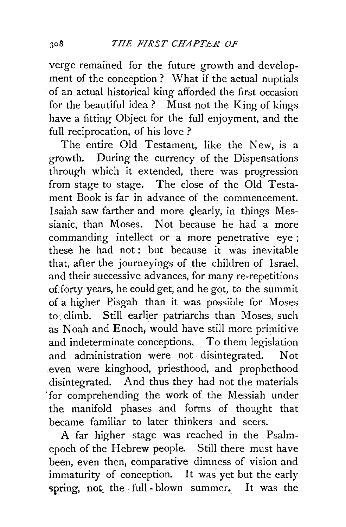verge remained for the future growth and development of the conception ? What if the actual nuptials of an actual historical king afforded the first occasion for the beautiful idea? Must not the King of kings have a fitting Object for the full enjoyment, and the full reciprocation, of his love ?

The entire Old Testament, like the New, is a growth. During the currency of the Dispensations through which it extended, there was progression from stage to stage. The close of the Old Testament Book is far in advance of the commencement. Isaiah saw farther and more clearly, in things Messianic, than Moses. Not because he had a more commanding intellect or a more penetrative eye; these he had not : but because it was inevitable that, after the journeyings of the children of Israel, and their successive advances, for many re-repetitions of forty years, he could get, and he got, to the summit of a higher Pisgah than it was possible for Moses to climb. Still earlier patriarchs than Moses, such as Noah and Enoch, would have still more primitive and indeterminate conceptions. To them legislation and administration were not disintegrated. Not even were kinghood, priesthood, and prophethood disintegrated. And thus they had not the materials ·for comprehending the work of the Messiah under the manifold phases and forms of thought that became familiar to later thinkers and seers.

A far higher stage was reached in the Psalmepoch of the Hebrew people. Still there must have been, even then, comparative dimness of vision and immaturity of conception. It was yet but the early spring, not the full-blown summer. It was the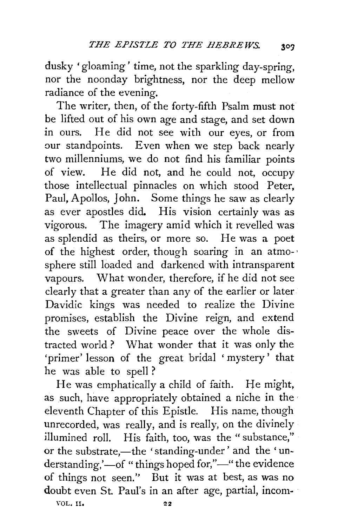dusky 'gloaming' time, not the sparkling day-spring, nor the noonday brightness, nor the deep mellow radiance of the evening.

The writer, then, of the forty-fifth Psalm must not be lifted out of his own age and stage, and set down in ours. He did not see with our eyes, or from our standpoints. Even when we step back nearly two millenniums, we do not find his familiar points of view. He did not, and he could not, occupy those intellectual pinnacles on which stood Peter, Paul, Apollos, John. Some things he saw as clearly as ever apostles did. His vision certainly was as vigorous. The imagery amid which it revelled was as splendid as theirs, or more so. He was a poet of the highest order, though soaring in an atmo- · sphere still loaded and darkened with intransparent vapours. What wonder, therefore, if he did not see clearly that a greater than any of the earlier or later Davidic kings was needed to realize the Divine promises, establish the Divine reign, and extend the sweets of Divine peace over the whole distracted world ? What wonder that it was only the 'primer' lesson of the great bridal 'mystery' that he was able to spell ?

He was emphatically a child of faith. He might, as such, have appropriately obtained a niche in the eleventh Chapter of this Epistle. His name, though unrecorded, was really, and is really, on the divinely illumined roll. His faith, too, was the " substance," or the substrate,-the 'standing-under' and the 'understanding,'-of "things hoped for,"-" the evidence of things not seen.'' But it was at best, as was no doubt even St. Paul's in an after age, partial, incom-

VOL. II. 22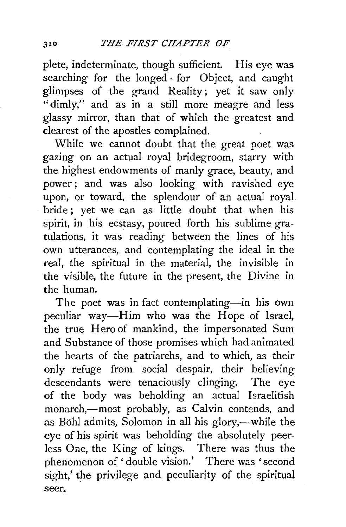plete, indeterminate, though sufficient. His eye was searching for the longed- for Object, and caught glimpses of the grand Reality; yet it saw only "dimly," and as in a still more meagre and less glassy mirror, than that of which the greatest and clearest of the apostles complained.

While we cannot doubt that the great poet was gazing on an actual royal bridegroom, starry with the highest endowments of manly grace, beauty, and power; and was also looking with ravished eye upon, or toward, the splendour of an actual royal bride ; yet we can as little doubt that when his spirit, in his ecstasy, poured forth his sublime gratulations, it was reading between the lines of his own utterances, and contemplating the ideal in the real, the spiritual in the material, the invisible in the visible, the future in the present, the Divine in the human.

The poet was in fact contemplating-in his own peculiar way-Him who was the Hope of Israel, the true Hero of mankind, the impersonated Sum and Substance of those promises which had animated the hearts of the patriarchs, and to which, as their only refuge from social despair, their believing descendants were tenaciously clinging. The eye of the body was beholding an actual lsraelitish monarch,-most probably, as Calvin contends, and as Böhl admits, Solomon in all his glory,—while the eye of his spirit was beholding the absolutely peerless One, the King of kings. There was thus the phenomenon of ' double vision.' There was 'second sight,' the privilege and peculiarity of the spiritual seer.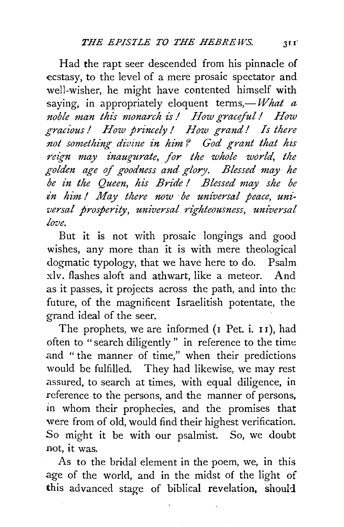Had the rapt seer descended from his pinnacle of ecstasy, to the level of a mere prosaic spectator and well-wisher, he might have contented himself with saying, in appropriately eloquent terms, $-What a$ *noble man this monarch is! How graceful! How gracious* / *How princely* / *How grand/ Is there not something divine in him? God grant that his reign may inaugurate, for the whole world, the golden age of goodness and glory. Blessed may he be in tlze Queen, his Bride* I *Blessed may she be in him! May there now be universal peace, universal prosperity, universal righteousness, universal love.* 

But it is not with prosaic longings and good wishes, any more than it is with mere theological dogmatic typology, that we have here to do. Psalm xlv. flashes aloft and athwart, like a meteor. And as it passes, it projects across the path, and into the future, of the magnificent Israelitish potentate, the grand ideal of the seer.

The prophets, we are informed (I Pet. i. II), had often to "search diligently" in reference to the time and " the manner of time," when their predictions would be fulfilled. They had likewise, we may rest assured, to search at times, with equal diligence, in reference to the persons, and the manner of persons, in whom their prophecies, and the promises that were from of old, would find their highest verification. So might it be with our psalmist. So, we doubt not, it was.

As to the bridal element in the poem, we, in this age of the world, and in the midst of the light of this advanced stage of biblical revelation, should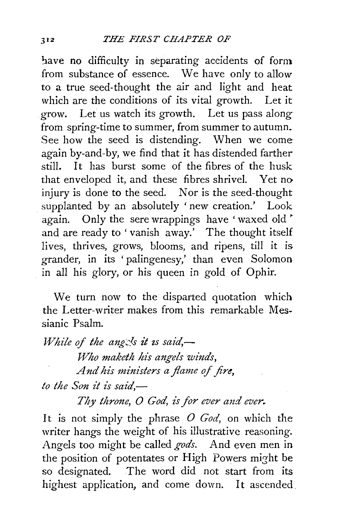have no difficulty in separating accidents of form from substance of essence. We have only to allow to a true seed-thought the air and light and heat which are the conditions of its vital growth. Let it grow. Let us watch its growth. Let us pass along from spring-time to summer, from summer to autumn. See how the seed is distending. When we come again by-and-by, we find that it has distended farther still. It has burst some of the fibres of the husk that enveloped it, and these fibres shrivel. Yet no injury is done to the seed. Nor is the seed-thought supplanted by an absolutely 'new creation.' Look again. Only the sere wrappings have 'waxed old' and are ready to 'vanish away.' The thought itself lives, thrives, grows, blooms, and ripens, till it is grander, in its 'palingenesy,' than even Solomon in all his glory, or his queen in gold of Ophir.

We turn now to the disparted quotation which the Letter-writer makes from this remarkable Messianic Psalm.

*While of the angels it is said*,— *Who maketh his angels winds,* And his ministers a flame of fire. *to the Son it is said,-*

*Tizy throne, 0 God, is for ever and ever.* 

It is not simply the phrase *0 God,* on which the writer hangs the weight of his illustrative reasoning. Angels too might be called *gods.* And even men in the position of potentates or High Powers might be so designated. The word did not start from its highest application, and come down. It ascended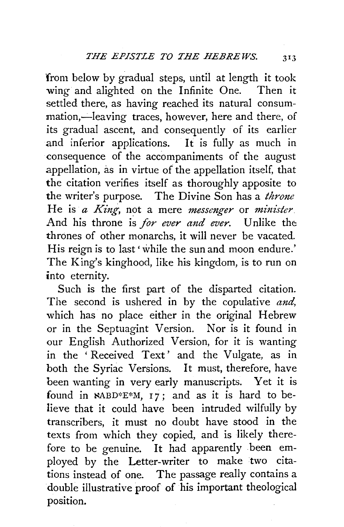from below by gradual steps, until at length it took wing and alighted on the Infinite One. Then it settled there, as having reached its natural consum mation,—leaving traces, however, here and there, of its gradual ascent, and consequently of its earlier and inferior applications. It is fully as much in consequence of the accompaniments of the august appellation, as in virtue of the appellation itself, that the citation verifies itself as thoroughly apposite to the writer's purpose. The Divine Son has a *throne*  He is *a King,* not a mere *messenger* or *minister*  And his throne is *for ever and ever.* Unlike the: thrones of other monarchs, it will never be vacated. His reign is to last 'while the sun and moon endure.' The King's kinghood, like his kingdom, is to run on into eternity.

Such is the first part of the disparted citation. The second is ushered in by the copulative *and,*  which has no place either in the original Hebrew or in the Septuagint Version. Nor is it found in our English Authorized Version, for it is wanting in the 'Received Text' and the Vulgate, as in both the Syriac Versions. It must, therefore, have been wanting in very early manuscripts. Yet it is found in  $NABD*E*M$ , 17; and as it is hard to believe that it could have been intruded wilfully by transcribers, it must no doubt have stood in the texts from which they copied, and is likely therefore to be genuine. It had apparently been employed by the Letter-writer to make two citations instead of one. The passage really contains a double illustrative proof of his important theological position.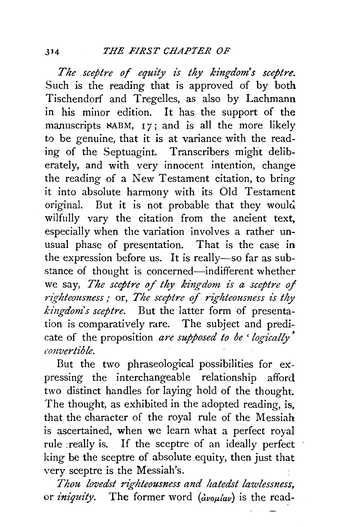*The sceptre of equity is thy kingdom's sceptre.* Such is the reading that is approved of by both Tischendorf and Tregelles, as also by Lachmann in his minor edition. It has the support of the manuscripts **NABM**, 17; and is all the more likely to be genuine, that it is at variance with the reading of the Septuagint. Transcribers might deliberately, and with very innocent intention, change the reading of a New Testament citation, to bring it into absolute harmony with its Old Testament original. But it is not probable that they would wilfully vary the citation from the ancient text, especially when the variation involves a rather unusual phase of presentation. That is the case in the expression before us. It is really-so far as substance of thought is concerned-indifferent whether we say, *The sceptre of thy kingdom is a sceptre of righteousness*; or, *The sceptre of righteousness is thy kingdom's sceptre.* But the latter form of presentation is comparatively rare. The subject and predicate of the proposition are supposed to be 'logically' *convertible.* 

But the two phraseological possibilities for expressing the interchangeable relationship afford two distinct handles for laying hold of the thought. The thought, as exhibited in the adopted reading, is, that the character of the royal rule of the Messiah is ascertained, when we learn what a perfect royal rule :really is. If the sceptre of an ideally perfect king be the sceptre of absolute equity, then just that very sceptre is the Messiah's.

*Thou lovedst righteousness and hatedst lawlessness,* or *iniquity*. The former word  $(i\omega_0\mu/\omega_0)$  is the read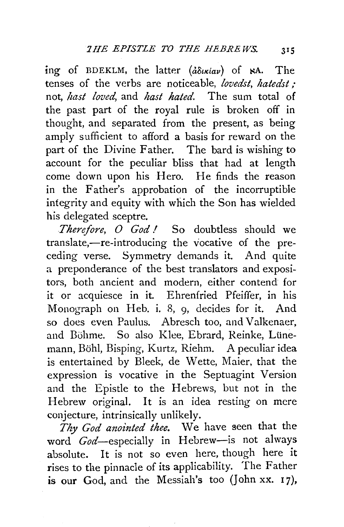ing of BDEKLM, the latter  $(\frac{\partial \delta u}{\partial u})$  of  $\aleph A$ . The tenses of the verbs are noticeable, *lovedst, hatedst;*  not, *hast loved,* and *hast hated.* The sum total of the past part of the royal rule is broken off in thought, and separated from the present, as being amply sufficient to afford a basis for reward on the part of the Divine Father. The bard is wishing to account for the peculiar bliss that had at length come down upon his Hero. He finds the reason in the Father's approbation of the incorruptible integrity and equity with which the Son has wielded his delegated sceptre.

*Therefore, O God!* So doubtless should we translate,—re-introducing the vocative of the preceding verse. Symmetry demands it. And quite a preponderance of the best translators and expositors, both ancient and modern, either contend for it or acquiesce in it. Ehrenfried Pfeiffer, in his Monograph on Heb. i. 8, 9, decides for it. And so does even Paulus. Abresch too, and Valkenaer, and Böhme. So also Klee, Ebrard, Reinke, Lünemann, Bohl, Bisping, Kurtz, Riehm. A peculiar idea is entertained by Bleek, de Wette, Maier, that the expression is vocative in the Septuagint Version and the Epistle to the Hebrews, but not in the Hebrew original. It is an idea resting on mere conjecture, intrinsically unlikely.

Thy God anointed thee. We have seen that the word God-especially in Hebrew-is not always absolute. It is not so even here, though here it rises to the pinnacle of its applicability. The Father is our God, and the Messiah's too (John xx.  $17$ ),